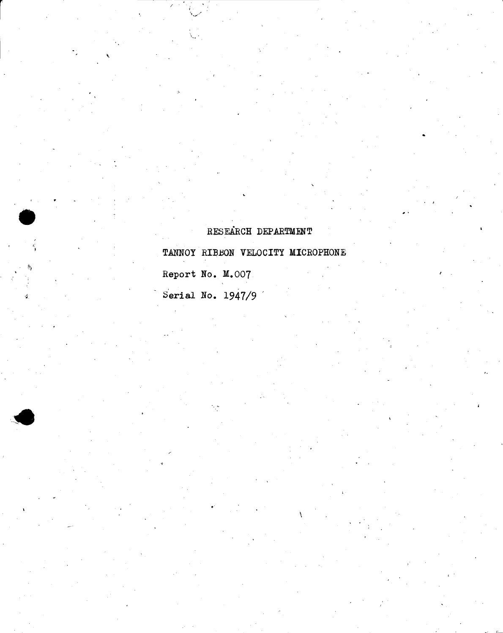# RESEARCH DEPARTMENT

TANNOY RIBBON VELOCITY MICROPHONE

Report No. M.007

r

" I

Serial No. 1947/9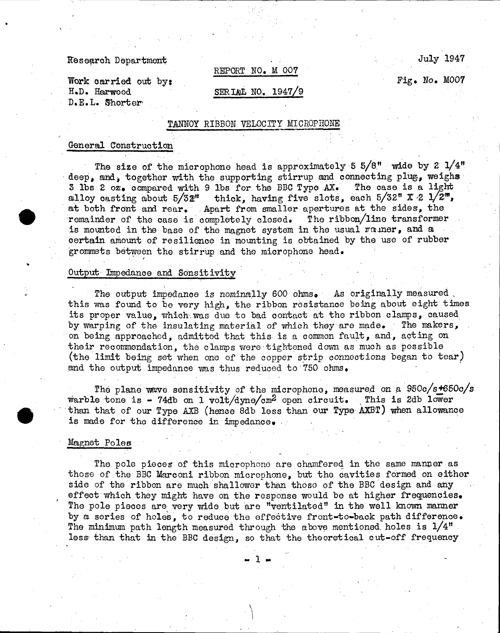### Research Department

# REPORT NO. M 007

Fig. No. M007

July 1947

Work carried out by: H.D. Harwood D. E. L. Shorter'

## SERIAL NO. 1947/9

## TANNOY RIBBON VELOCITY MICROPHONE

# General Construction

The size of the microphone head is approximately 5  $5/8$ " wide by 2  $1/4$ " deep, and, together with the supporting stirrup and connecting plug, weighs  $\frac{3}{100}$  and, compared with 9 lbs for the BBC Type AX. The case is a light 3 lbs 2  $\sigma z$ . compared with 9 lbs for the BBC Type AX. alloy casting about  $5/52"$  thick, having five slots, each  $5/52"$  X  $2 \frac{1}{2}$ , at both front and rear. Apart from smaller apertures at the sides, the remainder of the case is completely closed. The ribbon/line transformer remainder of the case is completely closed. is mounted in the base of the magnet system in the usual rouner, and a certain amount of resilienoe in mounting is obtained by the use of rubber grommets between the stirrup and the microphone head.

#### Output Impedance and Sensitivity

,

The output impedance is nominally 600 ohms. As originally measured this was found to be very high, the ribbon resistance being about eight times its proper value, which was due to bad contact at the ribbon clamps, caused by warping of the insulating material of which they are made. The makers, on being approached, admitted that this· is a common fault, and, act ing on their recommendation, the clamps were tightened down as much as possible (the limit being set when onc of the copper strip connections began to tear) and the output impedance was thus reduced to  $750$  ohms.

The plane wave sensitivity of the microphone, measured on a  $950c/s+650c/s$ warble tone is - 74db on 1 volt/dyne/cm<sup>2</sup> open circuit. This is 2db lower than that of our Type AXE (hence 8db less than our Type AXBT) when allowance is made for the difference in impedance.

# Magnet Poles

The pole pieces of this microphone are chamfered in the same manper as those of the BBC Marconi ribbon microphone, but the cavities formed on either side of the ribbon are much shallower than those of the BBC design and any effect which they might have on the response would be at higher frequencies. The pole pieces are very wide but are "ventilated" in the well known manner by a series of holes, to reduce the effective front-to-back path difference. The minimum path length measured through the above mentioned holes is  $1/4"$ less than that in the BBC design, so that the theoretical cut-off frequency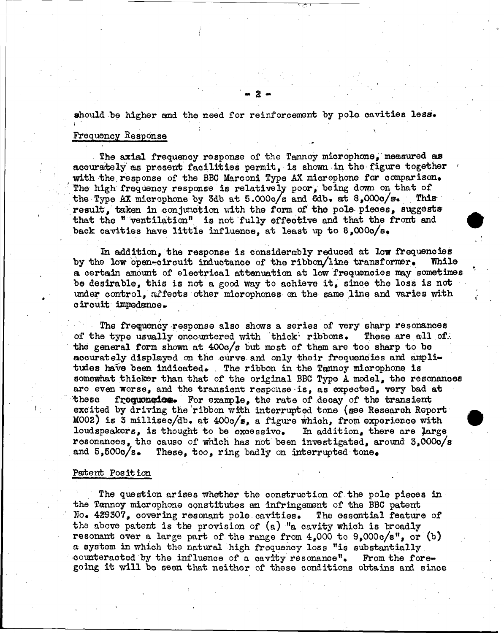should be higher and the need for reinforcement by pole cavities less.

# Frequency Response

The axial frequency response of the Tannoy microphone, measured as accurately as present facilities permit, is shown in the figure together with the response of the BBC Marconi Type AX microphone for comparison. The high frequency response is relatively poor, being down on that of the Type AX microphone by 3db at 5.000c/s and 6db. at 8.000c/s. **This** result. taken in conjunction with the form of the pole pieces, suggests that the "ventilation" is not fully effective and that the front and back cavities have little influence, at least up to  $8,0000/s$ .

In addition, the response is considerably reduced at low frequencies by the low open-circuit inductance of the ribbon/line transformer. While a certain amount of electrical attenuation at low frequencies may sometimes be desirable, this is not a good way to achieve it, since the loss is not under control. affects other microphones on the same line and varies with circuit impedance.

The frequency response also shows a series of very sharp resonances of the type usually encountered with thick ribbons. These are all of. the general form shown at 400c/s but most of them are too sharp to be accurately displayed on the curve and only their frequencies and amplitudes have been indicated. The ribbon in the Tannoy microphone is somewhat thicker than that of the original BBC Type A model, the resonances are even worse, and the transient response is, as expected, very bad at frequencies. For example, the rate of decay of the transient these excited by driving the ribbon with interrupted tone (see Research Report M002) is 3 millisec/db. at  $4000/s$ , a figure which, from experience with loudspeakers, is thought to be excessive. In addition, there are large resonances, the cause of which has not been investigated, around 3,000o/s and  $5,5000/s$ . These, too, ring badly on interrupted tone.

## Patent Position

The question arises whether the construction of the pole pieces in the Tannoy microphone constitutes an infringement of the BBC patent No. 429307, covering resonant pole cavities. The essential feature of the above patent is the provision of  $(a)$  "a cavity which is broadly resonant over a large part of the range from  $4,000$  to  $9,000c/s$ ", or (b) a system in which the natural high frequency loss "is substantially counteracted by the influence of a cavity resonance". From the foregoing it will be seen that neither of these conditions obtains and since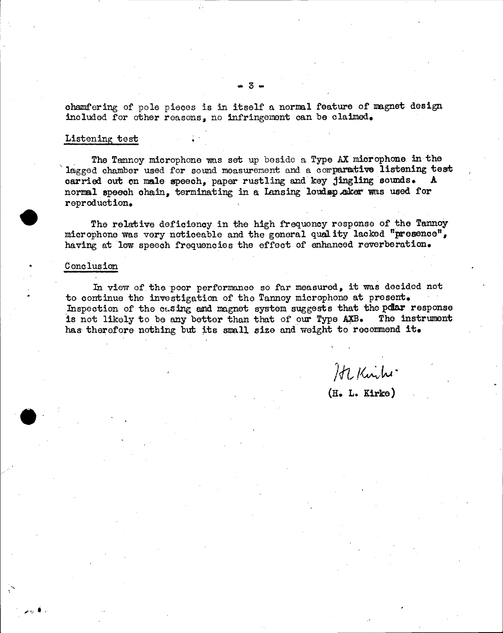ohamfering of pole pieoes is in itself a normal feature of magnet design included for other reasons, no infringement can be claimed.

# Listening test

The Tamnoy microphone was set up beside a Type AX microphone in the lagged chamber used for sound measurement and a corparative listening test carried out on male speech, paper rustling and key jingling sounds. normal speech chain, terminating in a Lansing loudsp aker was used for reproduction.

The relative deficiency in the high frequency response of the Tannoy miorophone was very notioeable and the general qual ity laoked "presence", having at low speech frequencies the effect of enhanced reverberation.

#### C ono Ius ion

، <del>•</del> يە جر

In view of the poor performance so far measured, it was decided not to continue the investigation of the Tannoy microphone at present. Inspection of the casing and magnet system suggests that the polar response is not likely to be any better than that of our Type  $AXB$ . The instrument is not likely to be any better than that of our Type AXB. has therefore nothing but its small size and weight to recommend it.

 $2$ Kiihi

(H. L. Kirke)